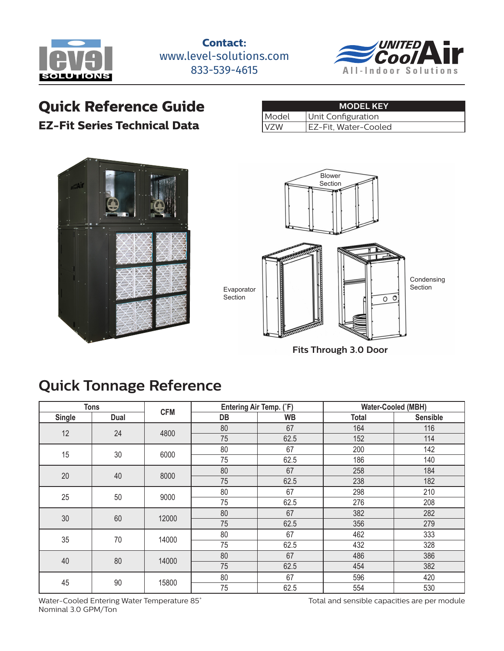

**Contact:** www.level-solutions.com 833-539-4615



# **Quick Reference Guide**

#### **EZ-Fit Series Technical Data**

| <b>MODEL KEY</b> |                      |  |  |  |  |  |
|------------------|----------------------|--|--|--|--|--|
| Model            | Unit Configuration   |  |  |  |  |  |
| IVZW             | EZ-Fit, Water-Cooled |  |  |  |  |  |





**Fits Through 3.0 Door**

# **Quick Tonnage Reference**

| <b>Tons</b>   |          | <b>CFM</b> |    | Entering Air Temp. (°F) | <b>Water-Cooled (MBH)</b> |                 |  |
|---------------|----------|------------|----|-------------------------|---------------------------|-----------------|--|
| <b>Single</b> | Dual     |            | DB | <b>WB</b>               | <b>Total</b>              | <b>Sensible</b> |  |
| 12            | 24       | 4800       | 80 | 67                      | 164                       | 116             |  |
|               |          |            | 75 | 62.5                    | 152                       | 114             |  |
| 15            | 30       | 6000       | 80 | 67                      | 200                       | 142             |  |
|               |          |            | 75 | 62.5                    | 186                       | 140             |  |
| 20            | 40       | 8000       | 80 | 67                      | 258                       | 184             |  |
|               |          |            | 75 | 62.5                    | 238                       | 182             |  |
| 25            | 50       | 9000       | 80 | 67                      | 298                       | 210             |  |
|               |          |            | 75 | 62.5                    | 276                       | 208             |  |
|               | 30<br>60 | 12000      | 80 | 67                      | 382                       | 282             |  |
|               |          |            | 75 | 62.5                    | 356                       | 279             |  |
| 35            | 70       | 14000      | 80 | 67                      | 462                       | 333             |  |
|               |          |            | 75 | 62.5                    | 432                       | 328             |  |
| 40            | 80       | 14000      | 80 | 67                      | 486                       | 386             |  |
|               |          |            | 75 | 62.5                    | 454                       | 382             |  |
| 45            | 90       | 15800      | 80 | 67                      | 596                       | 420             |  |
|               |          |            | 75 | 62.5                    | 554                       | 530             |  |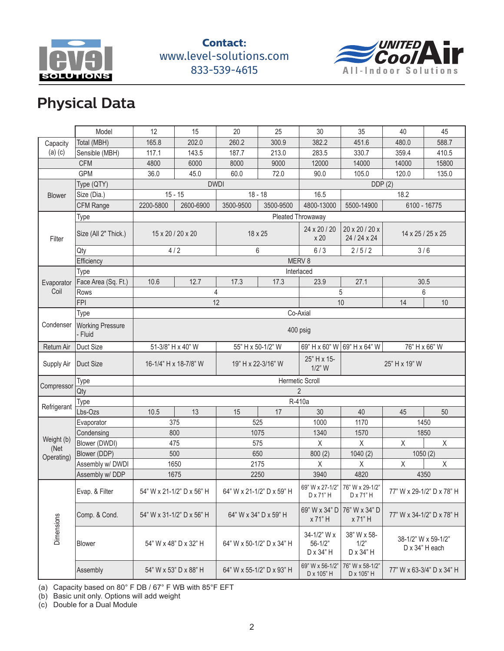

#### **Contact:** www.level-solutions.com 833-539-4615



# **Physical Data**

|                    | Model                              | 12                        | 15             | 20                 | 25                        | 30                                      | 35                               | 40                                    | 45                        |  |
|--------------------|------------------------------------|---------------------------|----------------|--------------------|---------------------------|-----------------------------------------|----------------------------------|---------------------------------------|---------------------------|--|
| Capacity           | Total (MBH)                        | 165.8                     | 202.0          | 260.2              | 300.9                     | 382.2                                   | 451.6                            | 480.0                                 | 588.7                     |  |
| $(a)$ $(c)$        | Sensible (MBH)                     | 117.1                     | 143.5          | 187.7              | 213.0                     | 283.5                                   | 330.7                            | 359.4                                 | 410.5                     |  |
|                    | <b>CFM</b>                         | 4800                      | 6000           | 8000               | 9000                      | 12000                                   | 14000                            | 14000                                 | 15800                     |  |
| <b>GPM</b>         |                                    | 36.0                      | 45.0           | 60.0               | 72.0                      | 90.0                                    | 105.0                            | 120.0                                 | 135.0                     |  |
|                    | Type (QTY)                         | DDP(2)<br><b>DWDI</b>     |                |                    |                           |                                         |                                  |                                       |                           |  |
| <b>Blower</b>      | Size (Dia.)                        | $15 - 15$                 |                | $18 - 18$          |                           | 16.5                                    |                                  | 18.2                                  |                           |  |
|                    | <b>CFM Range</b>                   | 2200-5800                 | 2600-6900      | 3500-9500          | 3500-9500                 | 4800-13000                              | 5500-14900                       | 6100 - 16775                          |                           |  |
|                    | Type                               | Pleated Throwaway         |                |                    |                           |                                         |                                  |                                       |                           |  |
| Filter             | Size (All 2" Thick.)               | 15 x 20 / 20 x 20         |                | 18 x 25            |                           | 24 x 20 / 20<br>x 20                    | 20 x 20 / 20 x<br>24 / 24 x 24   | 14 x 25 / 25 x 25                     |                           |  |
|                    | Qty                                | 4/2                       |                |                    | 6                         | 6/3                                     | 2/5/2                            | 3/6                                   |                           |  |
|                    | Efficiency                         |                           |                |                    |                           | MERV 8                                  |                                  |                                       |                           |  |
|                    | Type                               |                           |                |                    |                           | Interlaced                              |                                  |                                       |                           |  |
| Evaporator         | Face Area (Sq. Ft.)                | 10.6                      | 12.7           | 17.3               | 17.3                      | 23.9                                    | 27.1                             | 30.5                                  |                           |  |
| Coil               | Rows                               |                           | 4              |                    |                           | 5                                       |                                  | 6                                     |                           |  |
|                    | <b>FPI</b>                         |                           |                | 12                 |                           |                                         | 10                               | 14                                    | 10                        |  |
|                    | Type                               | Co-Axial                  |                |                    |                           |                                         |                                  |                                       |                           |  |
| Condenser          | <b>Working Pressure</b><br>- Fluid | 400 psig                  |                |                    |                           |                                         |                                  |                                       |                           |  |
| Return Air         | Duct Size                          | 51-3/8" H x 40" W         |                | 55" H x 50-1/2" W  |                           | 69" H x 60" W 69" H x 64" W             |                                  | 76" H x 66" W                         |                           |  |
| Supply Air         | Duct Size                          | 16-1/4" H x 18-7/8" W     |                | 19" H x 22-3/16" W |                           | 25" H x 15-<br>$1/2$ " W                |                                  | 25" H x 19" W                         |                           |  |
| Compressor         | Type                               | Hermetic Scroll           |                |                    |                           |                                         |                                  |                                       |                           |  |
|                    | Qty                                |                           | $\overline{2}$ |                    |                           |                                         |                                  |                                       |                           |  |
| Refrigerant        | Type                               |                           |                |                    |                           |                                         |                                  |                                       |                           |  |
|                    |                                    |                           |                |                    |                           | R-410a                                  |                                  |                                       |                           |  |
|                    | Lbs-Ozs                            | 10.5                      | 13             | 15                 | 17                        | 30                                      | 40                               | 45                                    | 50                        |  |
|                    | Evaporator                         | 375                       |                |                    | 525                       | 1000                                    | 1170                             | 1450                                  |                           |  |
|                    | Condensing                         | 800                       |                |                    | 1075                      | 1340                                    | 1570                             |                                       | 1850                      |  |
| Weight (b)         | Blower (DWDI)                      | 475                       |                |                    | 575                       | $\mathsf X$                             | $\mathsf X$                      | $\mathsf X$                           | $\mathsf{X}$              |  |
| (Net<br>Operating) | Blower (DDP)                       | 500                       |                |                    | 650                       | 800(2)                                  | 1040(2)                          | 1050(2)                               |                           |  |
|                    | Assembly w/ DWDI                   | 1650                      |                |                    | 2175                      | X                                       | $\mathsf X$                      | $\mathsf X$                           | $\mathsf{X}$              |  |
|                    | Assembly w/DDP                     | 1675                      |                |                    | 2250                      | 3940                                    | 4820                             | 4350                                  |                           |  |
|                    | Evap. & Filter                     | 54" W x 21-1/2" D x 56" H |                |                    | 64" W x 21-1/2" D x 59" H | 69" W x 27-1/2"<br>D x 71" H            | 76" W x 29-1/2"<br>D x 71" H     |                                       | 77" W x 29-1/2" D x 78" H |  |
|                    | Comp. & Cond.                      | 54" W x 31-1/2" D x 56" H |                |                    | 64" W x 34" D x 59" H     | 69" W x 34" D<br>x 71" H                | 76" W x 34" D<br>x 71" H         | 77" W x 34-1/2" D x 78" H             |                           |  |
| <b>Dimensions</b>  | Blower                             | 54" W x 48" D x 32" H     |                |                    | 64" W x 50-1/2" D x 34" H | 34-1/2" W x<br>$56 - 1/2"$<br>D x 34" H | 38" W x 58-<br>1/2"<br>D x 34" H | 38-1/2" W x 59-1/2"<br>D x 34" H each |                           |  |

(a) Capacity based on 80° F DB / 67° F WB with 85°F EFT

(b) Basic unit only. Options will add weight

(c) Double for a Dual Module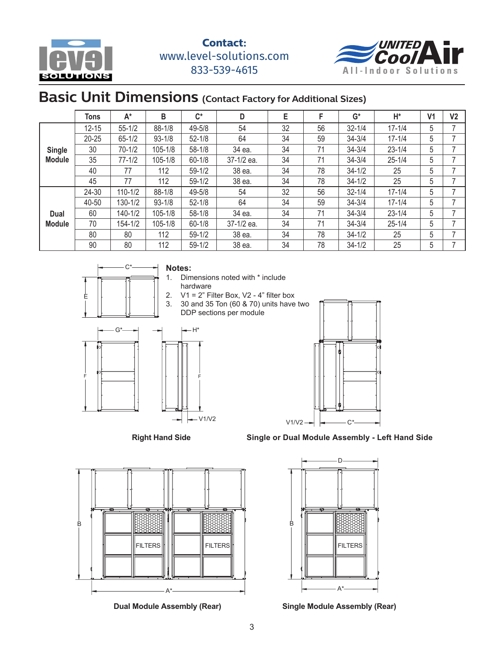



#### **Basic Unit Dimensions** (Contact Factory for Additional Sizes)  $T_{\rm tot}$  and  $T_{\rm tot}$  except  $T_{\rm tot}$  and  $T_{\rm tot}$  and  $T_{\rm tot}$  and  $T_{\rm tot}$  are very set of  $T_{\rm tot}$ -Contact Factory for Additional Si

| $A^*$      | В                                                                     | $\mathsf{C}^\star$                           | D          | E  | F  | $G^*$      | H*         | V <sub>1</sub> | V <sub>2</sub> |
|------------|-----------------------------------------------------------------------|----------------------------------------------|------------|----|----|------------|------------|----------------|----------------|
| $55 - 1/2$ | $88 - 1/8$                                                            | 49-5/8                                       | 54         | 32 | 56 | $32 - 1/4$ | $17 - 1/4$ | 5              |                |
| $65 - 1/2$ | $93 - 1/8$                                                            | $52 - 1/8$                                   | 64         | 34 | 59 | $34 - 3/4$ | $17 - 1/4$ | 5              |                |
|            | 105-1/8                                                               | $58 - 1/8$                                   | 34 ea.     | 34 | 71 | $34 - 3/4$ | $23 - 1/4$ | 5              |                |
| $77 - 1/2$ | 105-1/8                                                               | $60 - 1/8$                                   | 37-1/2 ea. | 34 | 71 | $34 - 3/4$ | $25 - 1/4$ | 5              |                |
| 77         | 112                                                                   | $59 - 1/2$                                   | 38 ea.     | 34 | 78 | $34 - 1/2$ | 25         | 5              |                |
| 77         | 112                                                                   | $59 - 1/2$                                   | 38 ea.     | 34 | 78 | $34 - 1/2$ | 25         | 5              |                |
|            | $88 - 1/8$                                                            | 49-5/8                                       | 54         | 32 | 56 | $32 - 1/4$ | $17 - 1/4$ | 5              |                |
|            | $93 - 1/8$                                                            | $52 - 1/8$                                   | 64         | 34 | 59 | $34 - 3/4$ | $17 - 1/4$ | 5              |                |
|            | 105-1/8                                                               | $58 - 1/8$                                   | 34 ea.     | 34 | 71 | $34 - 3/4$ | $23 - 1/4$ | 5              |                |
|            | 105-1/8                                                               | $60 - 1/8$                                   | 37-1/2 ea. | 34 | 71 | $34 - 3/4$ | $25 - 1/4$ | 5              |                |
| 80         | 112                                                                   | $59 - 1/2$                                   | 38 ea.     | 34 | 78 | $34 - 1/2$ | 25         | 5              |                |
| 80         | 112                                                                   | $59 - 1/2$                                   | 38 ea.     | 34 | 78 | $34 - 1/2$ | 25         | 5              |                |
|            | <b>Tons</b><br>$12 - 15$<br>$20 - 25$<br>$70 - 1/2$<br>24-30<br>40-50 | $110 - 1/2$<br>130-1/2<br>140-1/2<br>154-1/2 |            |    |    |            |            |                |                |



#### **Notes:**

- 1. Dimensions noted with \* include
	- hardware
- 2.  $V1 = 2$ " Filter Box, V2 4" filter box
- 3. 30 and 35 Ton (60 & 70) units have two DDP sections per module



#### **Right Hand Side**



**Single or Dual Module Assembly - Left Hand Side**



**Dual Module Assembly (Rear) Single Module Assembly (Rear)**